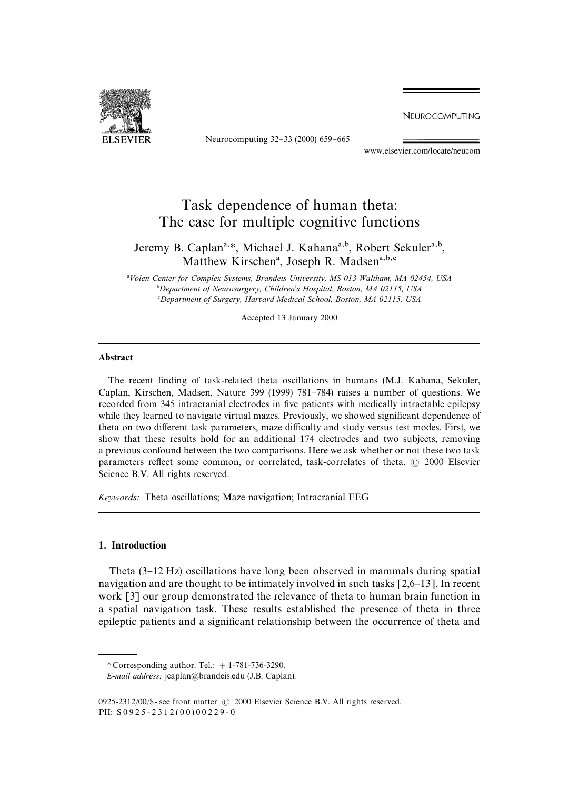

Neurocomputing 32-33 (2000) 659-665

NEUROCOMPUTING

www.elsevier.com/locate/neucom

# Task dependence of human theta: The case for multiple cognitive functions

Jeremy B. Caplan<sup>a,\*</sup>, Michael J. Kahana<sup>a,b</sup>, Robert Sekuler<sup>a,b</sup>, Matthew Kirschen<sup>a</sup>, Joseph R. Madsen<sup>a,b,c</sup>

!*Volen Center for Complex Systems, Brandeis University, MS 013 Waltham, MA 02454, USA* "*Department of Neurosurgery, Children*'*s Hospital, Boston, MA 02115, USA* #*Department of Surgery, Harvard Medical School, Boston, MA 02115, USA*

Accepted 13 January 2000

#### Abstract

The recent finding of task-related theta oscillations in humans (M.J. Kahana, Sekuler, Caplan, Kirschen, Madsen, Nature 399 (1999) 781–784) raises a number of questions. We recorded from 345 intracranial electrodes in five patients with medically intractable epilepsy while they learned to navigate virtual mazes. Previously, we showed significant dependence of theta on two different task parameters, maze difficulty and study versus test modes. First, we show that these results hold for an additional 174 electrodes and two subjects, removing a previous confound between the two comparisons. Here we ask whether or not these two task parameters reflect some common, or correlated, task-correlates of theta. © 2000 Elsevier Science B.V. All rights reserved.

*Keywords:* Theta oscillations; Maze navigation; Intracranial EEG

# 1. Introduction

Theta  $(3-12 \text{ Hz})$  oscillations have long been observed in mammals during spatial navigation and are thought to be intimately involved in such tasks  $[2,6-13]$ . In recent work [3] our group demonstrated the relevance of theta to human brain function in a spatial navigation task. These results established the presence of theta in three epileptic patients and a significant relationship between the occurrence of theta and

*<sup>\*</sup>* Corresponding author. Tel.: #1-781-736-3290.

*E-mail address:* jcaplan@brandeis.edu (J.B. Caplan).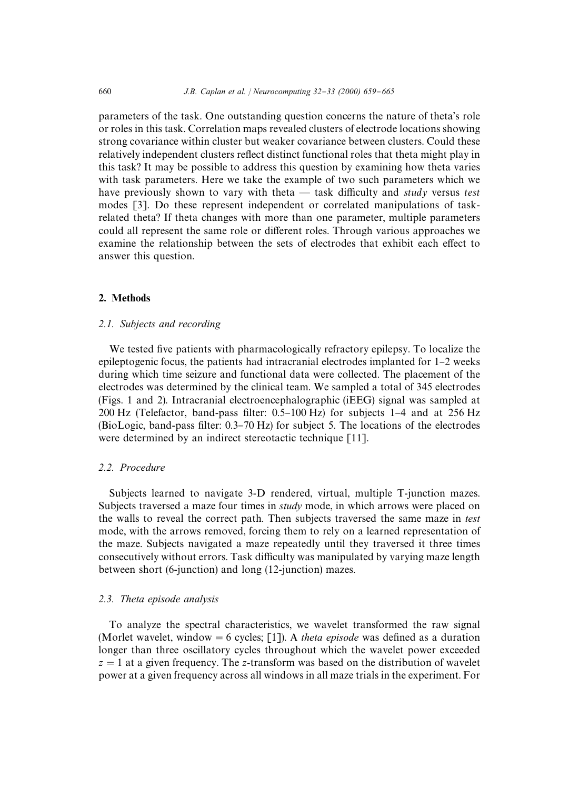parameters of the task. One outstanding question concerns the nature of theta's role or roles in this task. Correlation maps revealed clusters of electrode locations showing strong covariance within cluster but weaker covariance between clusters. Could these relatively independent clusters reflect distinct functional roles that theta might play in this task? It may be possible to address this question by examining how theta varies with task parameters. Here we take the example of two such parameters which we have previously shown to vary with theta — task difficulty and *study* versus *test* modes [3]. Do these represent independent or correlated manipulations of taskrelated theta? If theta changes with more than one parameter, multiple parameters could all represent the same role or different roles. Through various approaches we examine the relationship between the sets of electrodes that exhibit each effect to answer this question.

# 2. Methods

## *2.1. Subjects and recording*

We tested five patients with pharmacologically refractory epilepsy. To localize the epileptogenic focus, the patients had intracranial electrodes implanted for  $1-2$  weeks during which time seizure and functional data were collected. The placement of the electrodes was determined by the clinical team. We sampled a total of 345 electrodes (Figs. 1 and 2). Intracranial electroencephalographic (iEEG) signal was sampled at 200 Hz (Telefactor, band-pass filter:  $0.5-100$  Hz) for subjects 1-4 and at 256 Hz (BioLogic, band-pass filter:  $0.3-70$  Hz) for subject 5. The locations of the electrodes were determined by an indirect stereotactic technique [11].

## *2.2. Procedure*

Subjects learned to navigate 3-D rendered, virtual, multiple T-junction mazes. Subjects traversed a maze four times in *study* mode, in which arrows were placed on the walls to reveal the correct path. Then subjects traversed the same maze in *test* mode, with the arrows removed, forcing them to rely on a learned representation of the maze. Subjects navigated a maze repeatedly until they traversed it three times consecutively without errors. Task difficulty was manipulated by varying maze length between short (6-junction) and long (12-junction) mazes.

#### *2.3. Theta episode analysis*

To analyze the spectral characteristics, we wavelet transformed the raw signal (Morlet wavelet, window  $= 6$  cycles; [1]). A *theta episode* was defined as a duration longer than three oscillatory cycles throughout which the wavelet power exceeded  $z = 1$  at a given frequency. The *z*-transform was based on the distribution of wavelet power at a given frequency across all windows in all maze trials in the experiment. For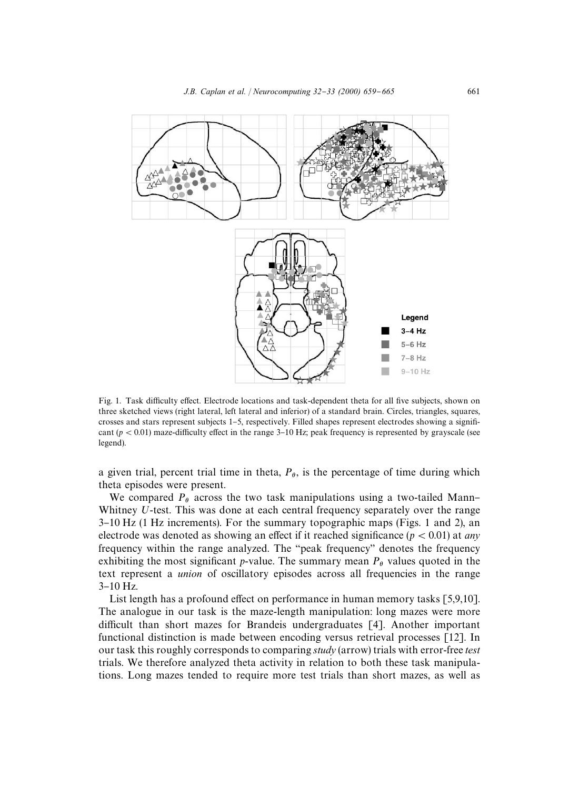

Fig. 1. Task difficulty effect. Electrode locations and task-dependent theta for all five subjects, shown on three sketched views (right lateral, left lateral and inferior) of a standard brain. Circles, triangles, squares, crosses and stars represent subjects 1–5, respectively. Filled shapes represent electrodes showing a significant ( $p < 0.01$ ) maze-difficulty effect in the range 3–10 Hz; peak frequency is represented by grayscale (see legend).

a given trial, percent trial time in theta,  $P_{\theta}$ , is the percentage of time during which<br>that enjoyedes were greent. theta episodes were present.

We compared  $P_{\theta}$  across the two task manipulations using a two-tailed Mann– Whitney  $U$ -test. This was done at each central frequency separately over the range  $3-10$  Hz (1 Hz increments). For the summary topographic maps (Figs. 1 and 2), an electrode was denoted as showing an effect if it reached significance ( $p < 0.01$ ) at *any* frequency within the range analyzed. The "peak frequency" denotes the frequency exhibiting the most significant *p*-value. The summary mean  $P_{\theta}$  values quoted in the text represent a *union* of oscillatory episodes across all frequencies in the range  $3-10$  Hz.

List length has a profound effect on performance in human memory tasks  $[5,9,10]$ . The analogue in our task is the maze-length manipulation: long mazes were more difficult than short mazes for Brandeis undergraduates  $[4]$ . Another important functional distinction is made between encoding versus retrieval processes [12]. In our task this roughly corresponds to comparing *study* (arrow) trials with error-free *test* trials. We therefore analyzed theta activity in relation to both these task manipulations. Long mazes tended to require more test trials than short mazes, as well as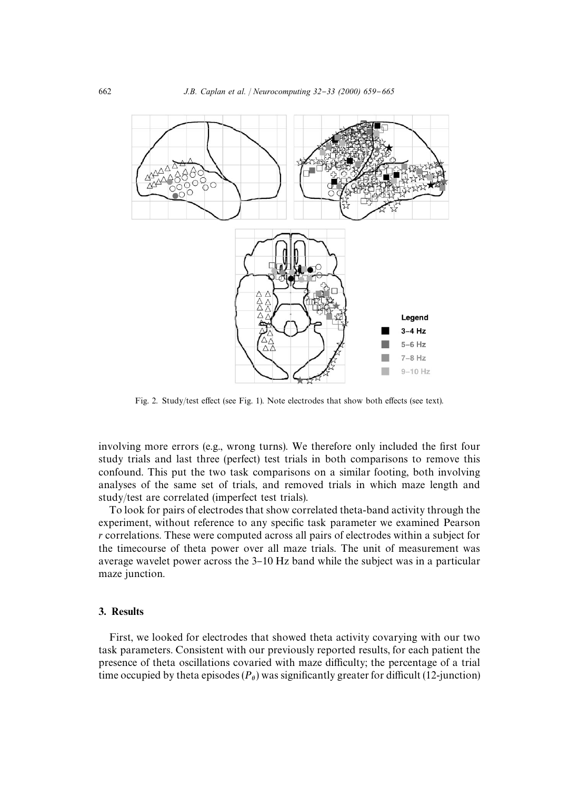

Fig. 2. Study/test effect (see Fig. 1). Note electrodes that show both effects (see text).

involving more errors (e.g., wrong turns). We therefore only included the first four study trials and last three (perfect) test trials in both comparisons to remove this confound. This put the two task comparisons on a similar footing, both involving analyses of the same set of trials, and removed trials in which maze length and study/test are correlated (imperfect test trials).

To look for pairs of electrodes that show correlated theta-band activity through the experiment, without reference to any specific task parameter we examined Pearson *r* correlations. These were computed across all pairs of electrodes within a subject for the timecourse of theta power over all maze trials. The unit of measurement was average wavelet power across the  $3-10$  Hz band while the subject was in a particular maze junction.

## 3. Results

First, we looked for electrodes that showed theta activity covarying with our two task parameters. Consistent with our previously reported results, for each patient the presence of theta oscillations covaried with maze difficulty; the percentage of a trial time occupied by theta episodes  $(P_{\theta})$  was significantly greater for difficult (12-junction)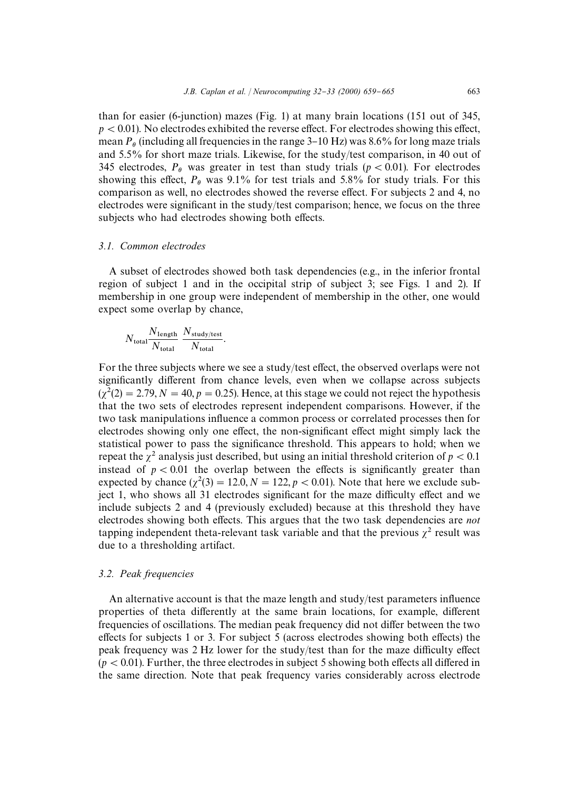than for easier (6-junction) mazes (Fig. 1) at many brain locations (151 out of 345,  $p<0.01$ ). No electrodes exhibited the reverse effect. For electrodes showing this effect, mean  $P_\theta$  (including all frequencies in the range 3–10 Hz) was 8.6% for long maze trials and 5.5% for short maze trials. Likewise, for the study/test comparison, in 40 out of 345 electrodes,  $P_{\theta}$  was greater in test than study trials ( $p < 0.01$ ). For electrodes showing this effect,  $P_\theta$  was 9.1% for test trials and 5.8% for study trials. For this comparison as well, no electrodes showed the reverse effect. For subjects 2 and 4, no electrodes were significant in the study/test comparison; hence, we focus on the three subjects who had electrodes showing both effects.

#### *3.1. Common electrodes*

A subset of electrodes showed both task dependencies (e.g., in the inferior frontal region of subject 1 and in the occipital strip of subject 3; see Figs. 1 and 2). If membership in one group were independent of membership in the other, one would expect some overlap by chance,

$$
N_{\text{total}} \frac{N_{\text{length}}}{N_{\text{total}}} \frac{N_{\text{study/test}}}{N_{\text{total}}}.
$$

For the three subjects where we see a study/test effect, the observed overlaps were not significantly different from chance levels, even when we collapse across subjects  $(\chi^2(2) = 2.79, N = 40, p = 0.25)$ . Hence, at this stage we could not reject the hypothesis that the two sets of electrodes represent independent comparisons. However, if the two task manipulations influence a common process or correlated processes then for electrodes showing only one effect, the non-significant effect might simply lack the statistical power to pass the significance threshold. This appears to hold; when we repeat the  $\chi^2$  analysis just described, but using an initial threshold criterion of  $p<0.1$ instead of  $p < 0.01$  the overlap between the effects is significantly greater than expected by chance  $(\gamma^2(3) = 12.0, N = 122, p < 0.01)$ . Note that here we exclude subject 1, who shows all 31 electrodes significant for the maze difficulty effect and we include subjects 2 and 4 (previously excluded) because at this threshold they have electrodes showing both effects. This argues that the two task dependencies are *not* tapping independent theta-relevant task variable and that the previous  $\chi^2$  result was due to a thresholding artifact.

### *3.2. Peak frequencies*

An alternative account is that the maze length and study/test parameters influence properties of theta differently at the same brain locations, for example, different frequencies of oscillations. The median peak frequency did not differ between the two effects for subjects 1 or 3. For subject 5 (across electrodes showing both effects) the peak frequency was  $2 \text{ Hz}$  lower for the study/test than for the maze difficulty effect  $(p < 0.01)$ . Further, the three electrodes in subject 5 showing both effects all differed in the same direction. Note that peak frequency varies considerably across electrode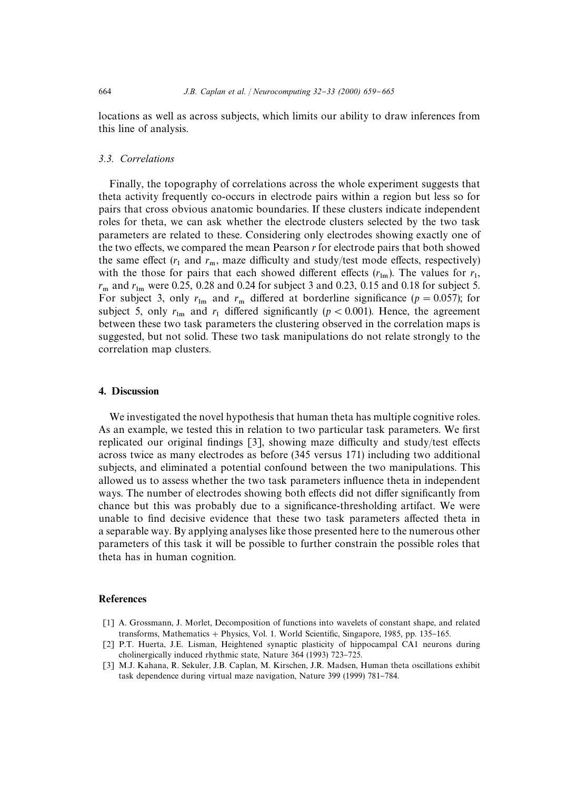locations as well as across subjects, which limits our ability to draw inferences from this line of analysis.

## *3.3. Correlations*

Finally, the topography of correlations across the whole experiment suggests that theta activity frequently co-occurs in electrode pairs within a region but less so for pairs that cross obvious anatomic boundaries. If these clusters indicate independent roles for theta, we can ask whether the electrode clusters selected by the two task parameters are related to these. Considering only electrodes showing exactly one of the two effects, we compared the mean Pearson *r* for electrode pairs that both showed the same effect  $(r_1$  and  $r_m$ , maze difficulty and study/test mode effects, respectively) with the those for pairs that each showed different effects  $(r_{\text{lm}})$ . The values for  $r_1$ ,  $r_{\rm m}$  and  $r_{\rm lm}$  were 0.25, 0.28 and 0.24 for subject 3 and 0.23, 0.15 and 0.18 for subject 5. For subject 3, only  $r_{\text{lm}}$  and  $r_{\text{m}}$  differed at borderline significance ( $p = 0.057$ ); for subject 5, only  $r_{\text{lm}}$  and  $r_1$  differed significantly ( $p < 0.001$ ). Hence, the agreement between these two task parameters the clustering observed in the correlation maps is suggested, but not solid. These two task manipulations do not relate strongly to the correlation map clusters.

## 4. Discussion

We investigated the novel hypothesis that human theta has multiple cognitive roles. As an example, we tested this in relation to two particular task parameters. We first replicated our original findings  $[3]$ , showing maze difficulty and study/test effects across twice as many electrodes as before (345 versus 171) including two additional subjects, and eliminated a potential confound between the two manipulations. This allowed us to assess whether the two task parameters influence theta in independent ways. The number of electrodes showing both effects did not differ significantly from chance but this was probably due to a significance-thresholding artifact. We were unable to find decisive evidence that these two task parameters affected theta in a separable way. By applying analyses like those presented here to the numerous other parameters of this task it will be possible to further constrain the possible roles that theta has in human cognition.

# References

- [1] A. Grossmann, J. Morlet, Decomposition of functions into wavelets of constant shape, and related transforms, Mathematics  $+$  Physics, Vol. 1. World Scientific, Singapore, 1985, pp. 135–165.
- [2] P.T. Huerta, J.E. Lisman, Heightened synaptic plasticity of hippocampal CA1 neurons during cholinergically induced rhythmic state, Nature 364 (1993) 723-725.
- [3] M.J. Kahana, R. Sekuler, J.B. Caplan, M. Kirschen, J.R. Madsen, Human theta oscillations exhibit task dependence during virtual maze navigation, Nature 399 (1999) 781-784.